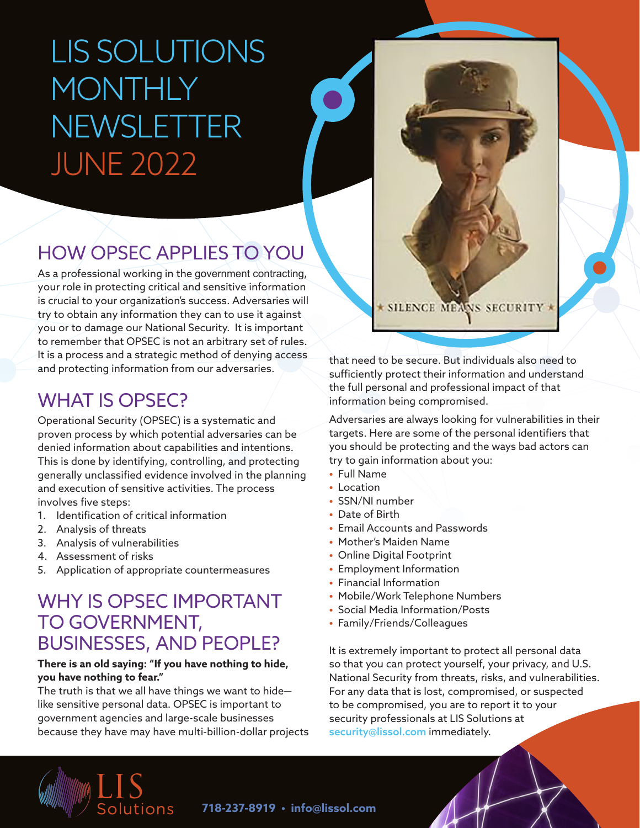# LIS SOLUTIONS **MONTHLY** NEWSLETTER JUNE 2022

## HOW OPSEC APPLIES TO YOU

As a professional working in the government contracting, your role in protecting critical and sensitive information is crucial to your organization's success. Adversaries will try to obtain any information they can to use it against you or to damage our National Security. It is important to remember that OPSEC is not an arbitrary set of rules. It is a process and a strategic method of denying access and protecting information from our adversaries.

### WHAT IS OPSEC?

Operational Security (OPSEC) is a systematic and proven process by which potential adversaries can be denied information about capabilities and intentions. This is done by identifying, controlling, and protecting generally unclassified evidence involved in the planning and execution of sensitive activities. The process involves five steps:

- 1. Identification of critical information
- 2. Analysis of threats
- 3. Analysis of vulnerabilities
- 4. Assessment of risks
- 5. Application of appropriate countermeasures

### WHY IS OPSEC IMPORTANT TO GOVERNMENT, BUSINESSES, AND PEOPLE?

#### **There is an old saying: "If you have nothing to hide, you have nothing to fear."**

The truth is that we all have things we want to hide like sensitive personal data. OPSEC is important to government agencies and large-scale businesses because they have may have multi-billion-dollar projects

that need to be secure. But individuals also need to sufficiently protect their information and understand the full personal and professional impact of that information being compromised.

**SILENCE MEANS SECURITY** 

Adversaries are always looking for vulnerabilities in their targets. Here are some of the personal identifiers that you should be protecting and the ways bad actors can try to gain information about you:

- Full Name
- Location
- SSN/NI number
- Date of Birth
- Email Accounts and Passwords
- Mother's Maiden Name
- Online Digital Footprint
- Employment Information
- Financial Information
- Mobile/Work Telephone Numbers
- Social Media Information/Posts
- Family/Friends/Colleagues

It is extremely important to protect all personal data so that you can protect yourself, your privacy, and U.S. National Security from threats, risks, and vulnerabilities. For any data that is lost, compromised, or suspected to be compromised, you are to report it to your security professionals at LIS Solutions at [security@lissol.com](mailto:security%40lissol.com?subject=) immediately.



**718-237-8919 • [info@lissol.com](mailto:info%40lissol.com?subject=)**